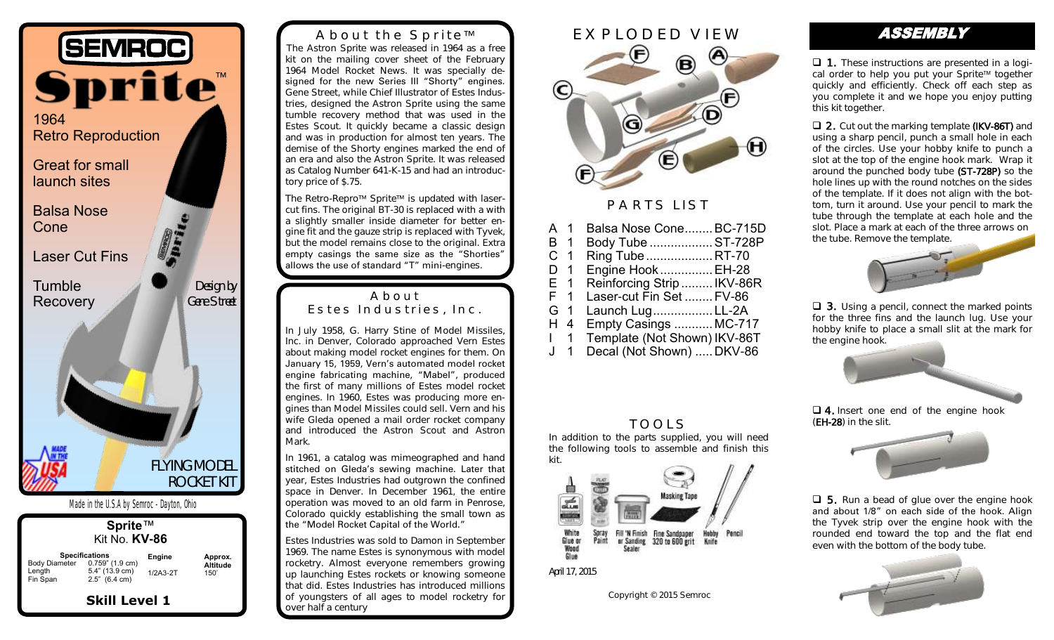

| Sprite™<br>Kit No. <b>KV-86</b> |                                                                                             |                             |                                    |
|---------------------------------|---------------------------------------------------------------------------------------------|-----------------------------|------------------------------------|
| Length<br>Fin Span              | <b>Specifications</b><br>Body Diameter 0.759" (1.9 cm)<br>5.4" (13.9 cm)<br>$2.5"$ (6.4 cm) | <b>Engine</b><br>$1/2A3-2T$ | Approx.<br><b>Altitude</b><br>150' |
| <b>Skill Level 1</b>            |                                                                                             |                             |                                    |

About the Sprite™ The Astron Sprite was released in 1964 as a free kit on the mailing cover sheet of the February 1964 Model Rocket News. It was specially designed for the new Series III "Shorty" engines. Gene Street, while Chief Illustrator of Estes Industries, designed the Astron Sprite using the same tumble recovery method that was used in the Estes Scout. It quickly became a classic design and was in production for almost ten years. The demise of the Shorty engines marked the end of an era and also the Astron Sprite. It was released as Catalog Number 641-K-15 and had an introductory price of \$.75.

The Retro-Repro™ Sprite™ is updated with lasercut fins. The original BT-30 is replaced with a with a slightly smaller inside diameter for better engine fit and the gauze strip is replaced with Tyvek, but the model remains close to the original. Extra empty casings the same size as the "Shorties" allows the use of standard "T" mini-engines.

#### About Estes Industries, Inc.

In July 1958, G. Harry Stine of Model Missiles, Inc. in Denver, Colorado approached Vern Estes about making model rocket engines for them. On January 15, 1959, Vern's automated model rocket engine fabricating machine, "Mabel", produced the first of many millions of Estes model rocket engines. In 1960, Estes was producing more engines than Model Missiles could sell. Vern and his wife Gleda opened a mail order rocket company and introduced the Astron Scout and Astron Mark.

In 1961, a catalog was mimeographed and hand stitched on Gleda's sewing machine. Later that year, Estes Industries had outgrown the confined space in Denver. In December 1961, the entire operation was moved to an old farm in Penrose, Colorado quickly establishing the small town as the "Model Rocket Capital of the World."

Estes Industries was sold to Damon in September 1969. The name Estes is synonymous with model rocketry. Almost everyone remembers growing up launching Estes rockets or knowing someone that did. Estes Industries has introduced millions of youngsters of all ages to model rocketry for over half a century



#### PARTS LIST

| A 1            | Balsa Nose Cone BC-715D      |
|----------------|------------------------------|
| B 1            | Body Tube  ST-728P           |
|                | Ring Tube  RT-70             |
| $\overline{1}$ | Engine Hook  EH-28           |
| E 1            | Reinforcing Strip  IKV-86R   |
| F 1            | Laser-cut Fin Set  FV-86     |
| G 1            | Launch LugLL-2A              |
| H 4            | <b>Empty Casings  MC-717</b> |
| $1 \quad 1$    | Template (Not Shown) IKV-86T |
| J 1            | Decal (Not Shown)  DKV-86    |
|                | $\overline{1}$               |

## TOOLS

In addition to the parts supplied, you will need the following tools to assemble and finish this kit.



April 17, 2015

Copyright © 2015 Semroc

### ASSEMBLY

❑ 1. These instructions are presented in a logical order to help you put your Sprite™ together quickly and efficiently. Check off each step as you complete it and we hope you enjoy putting this kit together.

❑ 2. Cut out the marking template (IKV-86T) and using a sharp pencil, punch a small hole in each of the circles. Use your hobby knife to punch a slot at the top of the engine hook mark. Wrap it around the punched body tube (ST-728P) so the hole lines up with the round notches on the sides of the template. If it does not align with the bottom, turn it around. Use your pencil to mark the tube through the template at each hole and the slot. Place a mark at each of the three arrows on the tube. Remove the template.



❑ 3. Using a pencil, connect the marked points for the three fins and the launch lug. Use your hobby knife to place a small slit at the mark for the engine hook.



❑ 4. Insert one end of the engine hook (EH-28) in the slit.



❑ 5. Run a bead of glue over the engine hook and about 1/8" on each side of the hook. Align the Tyvek strip over the engine hook with the rounded end toward the top and the flat end even with the bottom of the body tube.